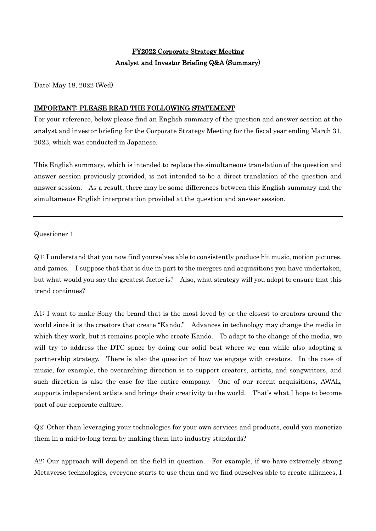# FY2022 Corporate Strategy Meeting Analyst and Investor Briefing Q&A (Summary)

Date: May 18, 2022 (Wed)

# IMPORTANT: PLEASE READ THE FOLLOWING STATEMENT

For your reference, below please find an English summary of the question and answer session at the analyst and investor briefing for the Corporate Strategy Meeting for the fiscal year ending March 31, 2023, which was conducted in Japanese.

This English summary, which is intended to replace the simultaneous translation of the question and answer session previously provided, is not intended to be a direct translation of the question and answer session. As a result, there may be some differences between this English summary and the simultaneous English interpretation provided at the question and answer session.

Questioner 1

Q1: I understand that you now find yourselves able to consistently produce hit music, motion pictures, and games. I suppose that that is due in part to the mergers and acquisitions you have undertaken, but what would you say the greatest factor is? Also, what strategy will you adopt to ensure that this trend continues?

A1: I want to make Sony the brand that is the most loved by or the closest to creators around the world since it is the creators that create "Kando." Advances in technology may change the media in which they work, but it remains people who create Kando. To adapt to the change of the media, we will try to address the DTC space by doing our solid best where we can while also adopting a partnership strategy. There is also the question of how we engage with creators. In the case of music, for example, the overarching direction is to support creators, artists, and songwriters, and such direction is also the case for the entire company. One of our recent acquisitions, AWAL, supports independent artists and brings their creativity to the world. That's what I hope to become part of our corporate culture.

Q2: Other than leveraging your technologies for your own services and products, could you monetize them in a mid-to-long term by making them into industry standards?

A2: Our approach will depend on the field in question. For example, if we have extremely strong Metaverse technologies, everyone starts to use them and we find ourselves able to create alliances, I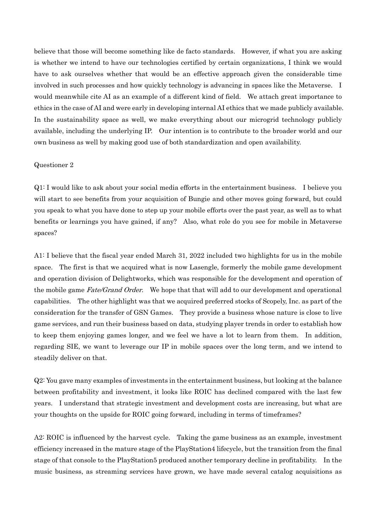believe that those will become something like de facto standards. However, if what you are asking is whether we intend to have our technologies certified by certain organizations, I think we would have to ask ourselves whether that would be an effective approach given the considerable time involved in such processes and how quickly technology is advancing in spaces like the Metaverse. I would meanwhile cite AI as an example of a different kind of field. We attach great importance to ethics in the case of AI and were early in developing internal AI ethics that we made publicly available. In the sustainability space as well, we make everything about our microgrid technology publicly available, including the underlying IP. Our intention is to contribute to the broader world and our own business as well by making good use of both standardization and open availability.

### Questioner 2

Q1: I would like to ask about your social media efforts in the entertainment business. I believe you will start to see benefits from your acquisition of Bungie and other moves going forward, but could you speak to what you have done to step up your mobile efforts over the past year, as well as to what benefits or learnings you have gained, if any? Also, what role do you see for mobile in Metaverse spaces?

A1: I believe that the fiscal year ended March 31, 2022 included two highlights for us in the mobile space. The first is that we acquired what is now Lasengle, formerly the mobile game development and operation division of Delightworks, which was responsible for the development and operation of the mobile game Fate/Grand Order. We hope that that will add to our development and operational capabilities. The other highlight was that we acquired preferred stocks of Scopely, Inc. as part of the consideration for the transfer of GSN Games. They provide a business whose nature is close to live game services, and run their business based on data, studying player trends in order to establish how to keep them enjoying games longer, and we feel we have a lot to learn from them. In addition, regarding SIE, we want to leverage our IP in mobile spaces over the long term, and we intend to steadily deliver on that.

Q2: You gave many examples of investments in the entertainment business, but looking at the balance between profitability and investment, it looks like ROIC has declined compared with the last few years. I understand that strategic investment and development costs are increasing, but what are your thoughts on the upside for ROIC going forward, including in terms of timeframes?

A2: ROIC is influenced by the harvest cycle. Taking the game business as an example, investment efficiency increased in the mature stage of the PlayStation4 lifecycle, but the transition from the final stage of that console to the PlayStation5 produced another temporary decline in profitability. In the music business, as streaming services have grown, we have made several catalog acquisitions as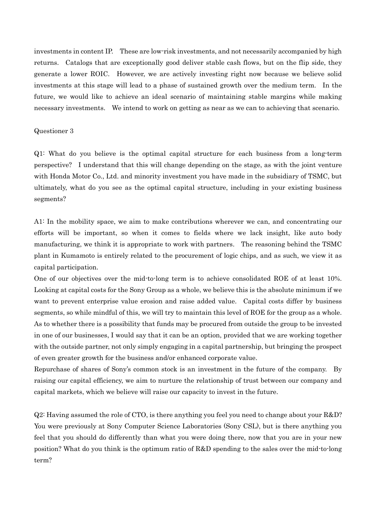investments in content IP. These are low-risk investments, and not necessarily accompanied by high returns. Catalogs that are exceptionally good deliver stable cash flows, but on the flip side, they generate a lower ROIC. However, we are actively investing right now because we believe solid investments at this stage will lead to a phase of sustained growth over the medium term. In the future, we would like to achieve an ideal scenario of maintaining stable margins while making necessary investments. We intend to work on getting as near as we can to achieving that scenario.

#### Questioner 3

Q1: What do you believe is the optimal capital structure for each business from a long-term perspective? I understand that this will change depending on the stage, as with the joint venture with Honda Motor Co., Ltd. and minority investment you have made in the subsidiary of TSMC, but ultimately, what do you see as the optimal capital structure, including in your existing business segments?

A1: In the mobility space, we aim to make contributions wherever we can, and concentrating our efforts will be important, so when it comes to fields where we lack insight, like auto body manufacturing, we think it is appropriate to work with partners. The reasoning behind the TSMC plant in Kumamoto is entirely related to the procurement of logic chips, and as such, we view it as capital participation.

One of our objectives over the mid-to-long term is to achieve consolidated ROE of at least 10%. Looking at capital costs for the Sony Group as a whole, we believe this is the absolute minimum if we want to prevent enterprise value erosion and raise added value. Capital costs differ by business segments, so while mindful of this, we will try to maintain this level of ROE for the group as a whole. As to whether there is a possibility that funds may be procured from outside the group to be invested in one of our businesses, I would say that it can be an option, provided that we are working together with the outside partner, not only simply engaging in a capital partnership, but bringing the prospect of even greater growth for the business and/or enhanced corporate value.

Repurchase of shares of Sony's common stock is an investment in the future of the company. By raising our capital efficiency, we aim to nurture the relationship of trust between our company and capital markets, which we believe will raise our capacity to invest in the future.

Q2: Having assumed the role of CTO, is there anything you feel you need to change about your R&D? You were previously at Sony Computer Science Laboratories (Sony CSL), but is there anything you feel that you should do differently than what you were doing there, now that you are in your new position? What do you think is the optimum ratio of R&D spending to the sales over the mid-to-long term?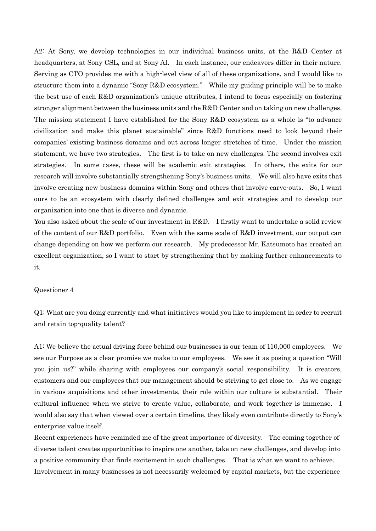A2: At Sony, we develop technologies in our individual business units, at the R&D Center at headquarters, at Sony CSL, and at Sony AI. In each instance, our endeavors differ in their nature. Serving as CTO provides me with a high-level view of all of these organizations, and I would like to structure them into a dynamic "Sony R&D ecosystem." While my guiding principle will be to make the best use of each R&D organization's unique attributes, I intend to focus especially on fostering stronger alignment between the business units and the R&D Center and on taking on new challenges. The mission statement I have established for the Sony R&D ecosystem as a whole is "to advance civilization and make this planet sustainable" since R&D functions need to look beyond their companies' existing business domains and out across longer stretches of time. Under the mission statement, we have two strategies. The first is to take on new challenges. The second involves exit strategies. In some cases, these will be academic exit strategies. In others, the exits for our research will involve substantially strengthening Sony's business units. We will also have exits that involve creating new business domains within Sony and others that involve carve-outs. So, I want ours to be an ecosystem with clearly defined challenges and exit strategies and to develop our organization into one that is diverse and dynamic.

You also asked about the scale of our investment in R&D. I firstly want to undertake a solid review of the content of our R&D portfolio. Even with the same scale of R&D investment, our output can change depending on how we perform our research. My predecessor Mr. Katsumoto has created an excellent organization, so I want to start by strengthening that by making further enhancements to it.

#### Questioner 4

Q1: What are you doing currently and what initiatives would you like to implement in order to recruit and retain top-quality talent?

A1: We believe the actual driving force behind our businesses is our team of 110,000 employees. We see our Purpose as a clear promise we make to our employees. We see it as posing a question "Will you join us?" while sharing with employees our company's social responsibility. It is creators, customers and our employees that our management should be striving to get close to. As we engage in various acquisitions and other investments, their role within our culture is substantial. Their cultural influence when we strive to create value, collaborate, and work together is immense. I would also say that when viewed over a certain timeline, they likely even contribute directly to Sony's enterprise value itself.

Recent experiences have reminded me of the great importance of diversity. The coming together of diverse talent creates opportunities to inspire one another, take on new challenges, and develop into a positive community that finds excitement in such challenges. That is what we want to achieve. Involvement in many businesses is not necessarily welcomed by capital markets, but the experience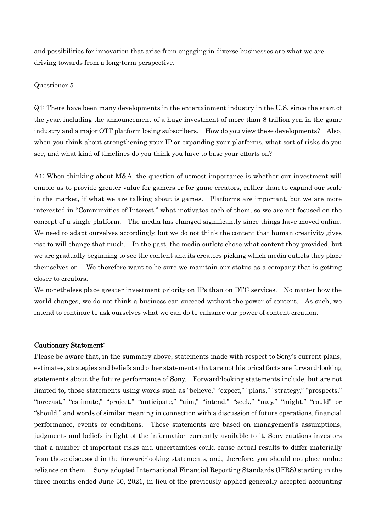and possibilities for innovation that arise from engaging in diverse businesses are what we are driving towards from a long-term perspective.

## Questioner 5

Q1: There have been many developments in the entertainment industry in the U.S. since the start of the year, including the announcement of a huge investment of more than 8 trillion yen in the game industry and a major OTT platform losing subscribers. How do you view these developments? Also, when you think about strengthening your IP or expanding your platforms, what sort of risks do you see, and what kind of timelines do you think you have to base your efforts on?

A1: When thinking about M&A, the question of utmost importance is whether our investment will enable us to provide greater value for gamers or for game creators, rather than to expand our scale in the market, if what we are talking about is games. Platforms are important, but we are more interested in "Communities of Interest," what motivates each of them, so we are not focused on the concept of a single platform. The media has changed significantly since things have moved online. We need to adapt ourselves accordingly, but we do not think the content that human creativity gives rise to will change that much. In the past, the media outlets chose what content they provided, but we are gradually beginning to see the content and its creators picking which media outlets they place themselves on. We therefore want to be sure we maintain our status as a company that is getting closer to creators.

We nonetheless place greater investment priority on IPs than on DTC services. No matter how the world changes, we do not think a business can succeed without the power of content. As such, we intend to continue to ask ourselves what we can do to enhance our power of content creation.

## Cautionary Statement:

Please be aware that, in the summary above, statements made with respect to Sony's current plans, estimates, strategies and beliefs and other statements that are not historical facts are forward-looking statements about the future performance of Sony. Forward-looking statements include, but are not limited to, those statements using words such as "believe," "expect," "plans," "strategy," "prospects," "forecast," "estimate," "project," "anticipate," "aim," "intend," "seek," "may," "might," "could" or "should," and words of similar meaning in connection with a discussion of future operations, financial performance, events or conditions. These statements are based on management's assumptions, judgments and beliefs in light of the information currently available to it. Sony cautions investors that a number of important risks and uncertainties could cause actual results to differ materially from those discussed in the forward-looking statements, and, therefore, you should not place undue reliance on them. Sony adopted International Financial Reporting Standards (IFRS) starting in the three months ended June 30, 2021, in lieu of the previously applied generally accepted accounting